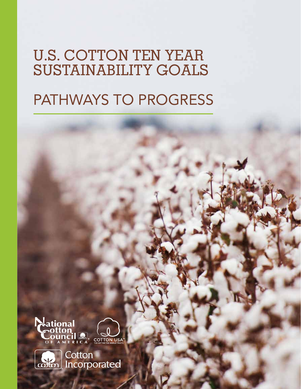# U.S. COTTON TEN YEAR SUSTAINABILITY GOALS PATHWAYS TO PROGRESS



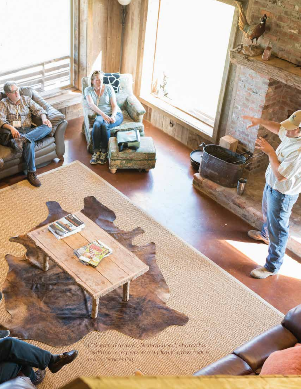*U.S. cotton grower, Nathan Reed, shares his continuous improvement plan to grow cotton more responsibly.*

**REAL CONSTRAINS AND REAL CONSTRAINS**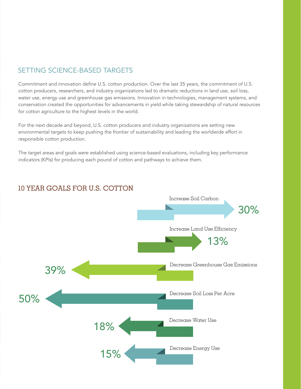### SETTING SCIENCE-BASED TARGETS

Commitment and innovation define U.S. cotton production. Over the last 35 years, the commitment of U.S. cotton producers, researchers, and industry organizations led to dramatic reductions in land use, soil loss, water use, energy use and greenhouse gas emissions. Innovation in technologies, management systems, and conservation created the opportunities for advancements in yield while taking stewardship of natural resources for cotton agriculture to the highest levels in the world.

For the next decade and beyond, U.S. cotton producers and industry organizations are setting new environmental targets to keep pushing the frontier of sustainability and leading the worldwide effort in responsible cotton production.

The target areas and goals were established using science-based evaluations, including key performance indicators (KPIs) for producing each pound of cotton and pathways to achieve them.



## 10 YEAR GOALS FOR U.S. COTTON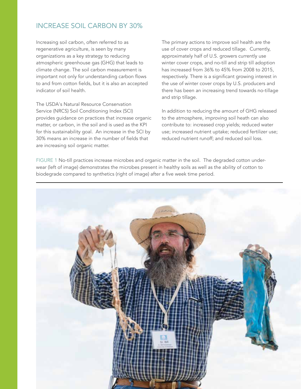## INCREASE SOIL CARBON BY 30%

Increasing soil carbon, often referred to as regenerative agriculture, is seen by many organizations as a key strategy to reducing atmospheric greenhouse gas (GHG) that leads to climate change. The soil carbon measurement is important not only for understanding carbon flows to and from cotton fields, but it is also an accepted indicator of soil health.

The USDA's Natural Resource Conservation Service (NRCS) Soil Conditioning Index (SCI) provides guidance on practices that increase organic matter, or carbon, in the soil and is used as the KPI for this sustainability goal. An increase in the SCI by 30% means an increase in the number of fields that are increasing soil organic matter.

The primary actions to improve soil health are the use of cover crops and reduced tillage. Currently, approximately half of U.S. growers currently use winter cover crops, and no-till and strip till adoption has increased from 36% to 45% from 2008 to 2015, respectively. There is a significant growing interest in the use of winter cover crops by U.S. producers and there has been an increasing trend towards no-tillage and strip tillage.

In addition to reducing the amount of GHG released to the atmosphere, improving soil heath can also contribute to: increased crop yields; reduced water use; increased nutrient uptake; reduced fertilizer use; reduced nutrient runoff; and reduced soil loss.

FIGURE 1 No-till practices increase microbes and organic matter in the soil. The degraded cotton underwear (left of image) demonstrates the microbes present in healthy soils as well as the ability of cotton to biodegrade compared to synthetics (right of image) after a five week time period.

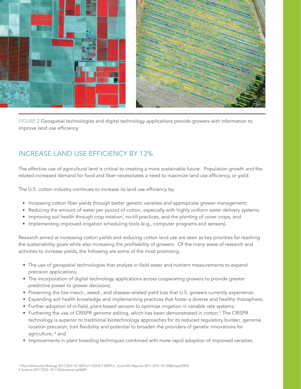

FIGURE 2 Geospatial technologies and digital technology applications provide growers with information to improve land use efficiency.

# INCREASE LAND USE EFFICIENCY BY 13%

The effective use of agricultural land is critical to creating a more sustainable future. Population growth and the related increased demand for food and fiber necessitates a need to maximize land use efficiency, or yield.

The U.S. cotton industry continues to increase its land use efficiency by:

- Increasing cotton fiber yields through better genetic varieties and appropriate grower management;
- Reducing the amount of water per pound of cotton, especially with highly uniform water delivery systems;
- Improving soil health through crop rotation, no-till practices, and the planting of cover crops; and
- Implementing improved irrigation scheduling tools (e.g., computer programs and sensors).

Research aimed at increasing cotton yields and reducing cotton land use are seen as key priorities for reaching the sustainability goals while also increasing the profitability of growers. Of the many areas of research and activities to increase yields, the following are some of the most promising.

- The use of geospatial technologies that analyze in-field water and nutrient measurements to expand precision applications;
- The incorporation of digital technology applications across cooperating growers to provide greater predictive power to grower decisions;
- Preserving the low insect-, weed-, and disease-related yield loss that U.S. growers currently experience;
- Expanding soil health knowledge and implementing practices that foster a diverse and healthy rhizosphere;
- Further adoption of in-field, plant-based sensors to optimize irrigation in variable rate systems;
- Furthering the use of CRISPR genome editing, which has been demonstrated in cotton.<sup>1</sup> The CRISPR technology is superior to traditional biotechnology approaches for its reduced regulatory burden, genome location precision, trait flexibility and potential to broaden the providers of genetic innovations for agriculture; <sup>2</sup> and
- Improvements in plant breeding techniques combined with more rapid adoption of improved varieties.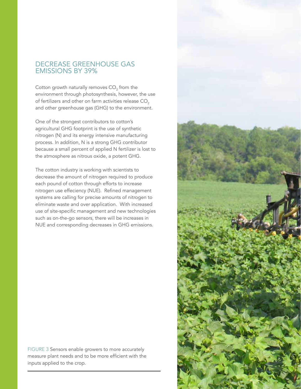#### DECREASE GREENHOUSE GAS EMISSIONS BY 39%

Cotton growth naturally removes CO $_{\textrm{\tiny{2}}}$  from the environment through photosynthesis, however, the use of fertilizers and other on farm activities release CO<sub>2</sub> and other greenhouse gas (GHG) to the environment.

One of the strongest contributors to cotton's agricultural GHG footprint is the use of synthetic nitrogen (N) and its energy intensive manufacturing process. In addition, N is a strong GHG contributor because a small percent of applied N fertilizer is lost to the atmosphere as nitrous oxide, a potent GHG.

The cotton industry is working with scientists to decrease the amount of nitrogen required to produce each pound of cotton through efforts to increase nitrogen use effeciency (NUE). Refined management systems are calling for precise amounts of nitrogen to eliminate waste and over application. With increased use of site-specific management and new technologies such as on-the-go sensors, there will be increases in NUE and corresponding decreases in GHG emissions.

FIGURE 3 Sensors enable growers to more accurately measure plant needs and to be more efficient with the inputs applied to the crop.

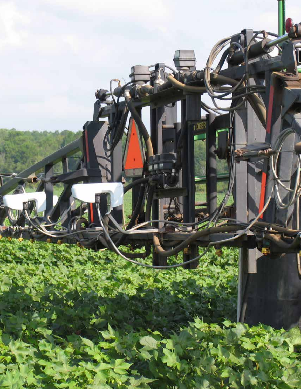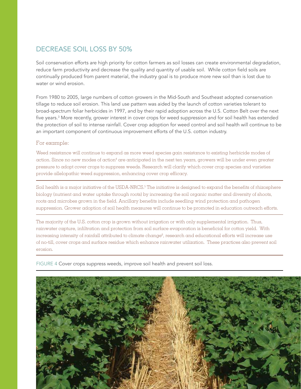### DECREASE SOIL LOSS BY 50%

Soil conservation efforts are high priority for cotton farmers as soil losses can create environmental degradation, reduce farm productivity and decrease the quality and quantity of usable soil. While cotton field soils are continually produced from parent material, the industry goal is to produce more new soil than is lost due to water or wind erosion.

From 1980 to 2005, large numbers of cotton growers in the Mid-South and Southeast adopted conservation tillage to reduce soil erosion. This land use pattern was aided by the launch of cotton varieties tolerant to broad-spectrum foliar herbicides in 1997, and by their rapid adoption across the U.S. Cotton Belt over the next five years.<sup>3</sup> More recently, grower interest in cover crops for weed suppression and for soil health has extended the protection of soil to intense rainfall. Cover crop adoption for weed control and soil health will continue to be an important component of continuous improvement efforts of the U.S. cotton industry.

#### For example:

Weed resistance will continue to expand as more weed species gain resistance to existing herbicide modes of action. Since no new modes of action<sup>4</sup> are anticipated in the next ten years, growers will be under even greater pressure to adopt cover crops to suppress weeds. Research will clarify which cover crop species and varieties provide allelopathic weed suppression, enhancing cover crop efficacy.

Soil health is a major initiative of the USDA-NRCS.<sup>5</sup> The initiative is designed to expand the benefits of rhizosphere biology (nutrient and water uptake through roots) by increasing the soil organic matter and diversity of shoots, roots and microbes grown in the field. Ancillary benefits include seedling wind protection and pathogen suppression. Grower adoption of soil health measures will continue to be promoted in education outreach efforts.

The majority of the U.S. cotton crop is grown without irrigation or with only supplemental irrigation. Thus, rainwater capture, infiltration and protection from soil surface evaporation is beneficial for cotton yield. With increasing intensity of rainfall attributed to climate change<sup>6</sup>, research and educational efforts will increase use of no-till, cover crops and surface residue which enhance rainwater utilization. These practices also prevent soil erosion.

FIGURE 4 Cover crops suppress weeds, improve soil health and prevent soil loss.

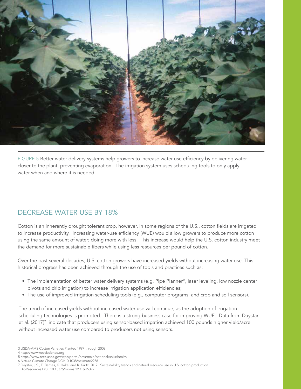

FIGURE 5 Better water delivery systems help growers to increase water use efficiency by delivering water closer to the plant, preventing evaporation. The irrigation system uses scheduling tools to only apply water when and where it is needed.

#### DECREASE WATER USE BY 18%

Cotton is an inherently drought tolerant crop, however, in some regions of the U.S., cotton fields are irrigated to increase productivity. Increasing water-use efficiency (WUE) would allow growers to produce more cotton using the same amount of water; doing more with less. This increase would help the U.S. cotton industry meet the demand for more sustainable fibers while using less resources per pound of cotton.

Over the past several decades, U.S. cotton growers have increased yields without increasing water use. This historical progress has been achieved through the use of tools and practices such as:

- The implementation of better water delivery systems (e.g. Pipe Planner®, laser leveling, low nozzle center pivots and drip irrigation) to increase irrigation application efficiencies;
- The use of improved irrigation scheduling tools (e.g., computer programs, and crop and soil sensors).

The trend of increased yields without increased water use will continue, as the adoption of irrigation scheduling technologies is promoted. There is a strong business case for improving WUE. Data from Daystar et al. (2017) $^{\prime}$  indicate that producers using sensor-based irrigation achieved 100 pounds higher yield/acre without increased water use compared to producers not using sensors.

BioResources DOI: 10.15376/biores.12.1.362-392

 <sup>3</sup> USDA-AMS Cotton Varieties Planted 1997 through 2002

 <sup>4</sup> http://www.weedscience.org

 <sup>5</sup> https://www.nrcs.usda.gov/wps/portal/nrcs/main/national/soils/health

 <sup>6</sup> Nature Climate Change DOI:10.1038/nclimate2258

 <sup>7</sup> Daystar, J.S., E. Barnes, K. Hake, and R. Kurtz. 2017. Sustainability trends and natural resource use in U.S. cotton production.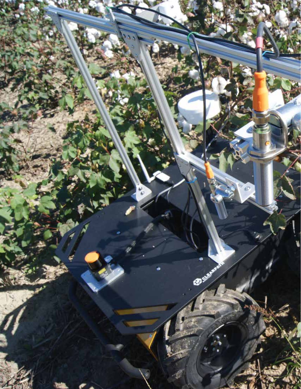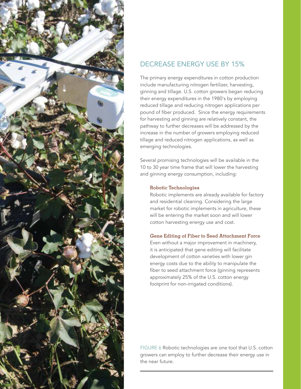

# DECREASE ENERGY USE BY 15%

The primary energy expenditures in cotton production include manufacturing nitrogen fertilizer, harvesting, ginning and tillage. U.S. cotton growers began reducing their energy expenditures in the 1980's by employing reduced tillage and reducing nitrogen applications per pound of fiber produced. Since the energy requirements for harvesting and ginning are relatively constant, the pathway to further decreases will be addressed by the increase in the number of growers employing reduced tillage and reduced nitrogen applications, as well as emerging technologies.

Several promising technologies will be available in the 10 to 30 year time frame that will lower the harvesting and ginning energy consumption, including:

#### **Robotic Technologies**

Robotic implements are already available for factory and residential cleaning. Considering the large market for robotic implements in agriculture, these will be entering the market soon and will lower cotton harvesting energy use and cost.

#### **Gene Editing of Fiber to Seed Attachment Force**

Even without a major improvement in machinery, it is anticipated that gene editing will facilitate development of cotton varieties with lower gin energy costs due to the ability to manipulate the fiber to seed attachment force (ginning represents approximately 25% of the U.S. cotton energy footprint for non-irrigated conditions).

FIGURE 6 Robotic technologies are one tool that U.S. cotton growers can employ to further decrease their energy use in the near future.